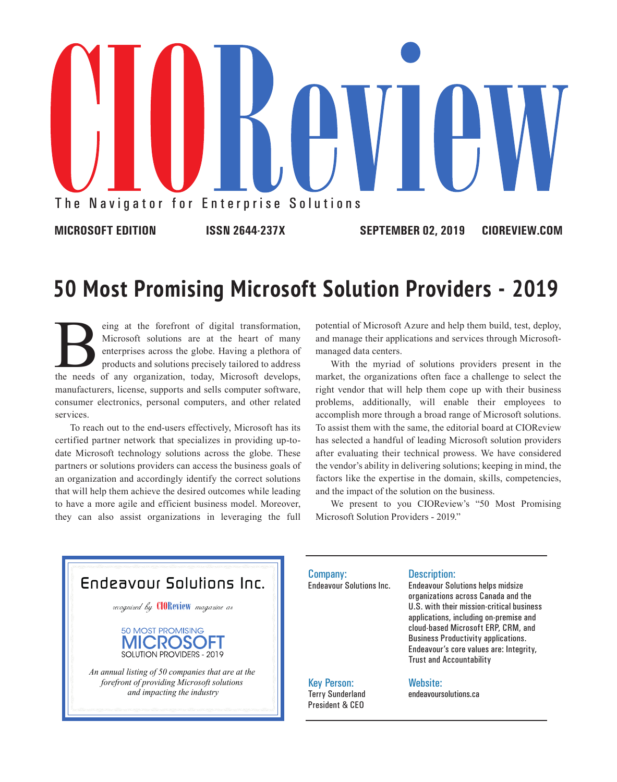

## **50 Most Promising Microsoft Solution Providers - 2019**

Election are at the heart of many enterprises across the globe. Having a plethora of products and solutions precisely tailored to address the needs of any organization, today, Microsoft develops, Microsoft solutions are at the heart of many enterprises across the globe. Having a plethora of products and solutions precisely tailored to address manufacturers, license, supports and sells computer software, consumer electronics, personal computers, and other related services.

To reach out to the end-users effectively, Microsoft has its certified partner network that specializes in providing up-todate Microsoft technology solutions across the globe. These partners or solutions providers can access the business goals of an organization and accordingly identify the correct solutions that will help them achieve the desired outcomes while leading to have a more agile and efficient business model. Moreover, they can also assist organizations in leveraging the full

potential of Microsoft Azure and help them build, test, deploy, and manage their applications and services through Microsoftmanaged data centers.

With the myriad of solutions providers present in the market, the organizations often face a challenge to select the right vendor that will help them cope up with their business problems, additionally, will enable their employees to accomplish more through a broad range of Microsoft solutions. To assist them with the same, the editorial board at CIOReview has selected a handful of leading Microsoft solution providers after evaluating their technical prowess. We have considered the vendor's ability in delivering solutions; keeping in mind, the factors like the expertise in the domain, skills, competencies, and the impact of the solution on the business.

We present to you CIOReview's "50 Most Promising Microsoft Solution Providers - 2019."



Company: Endeavour Solutions Inc.

#### Description:

Endeavour Solutions helps midsize organizations across Canada and the U.S. with their mission-critical business applications, including on-premise and cloud-based Microsoft ERP, CRM, and Business Productivity applications. Endeavour's core values are: Integrity, Trust and Accountability

#### Key Person: Terry Sunderland President & CEO

#### Website:

endeavoursolutions.ca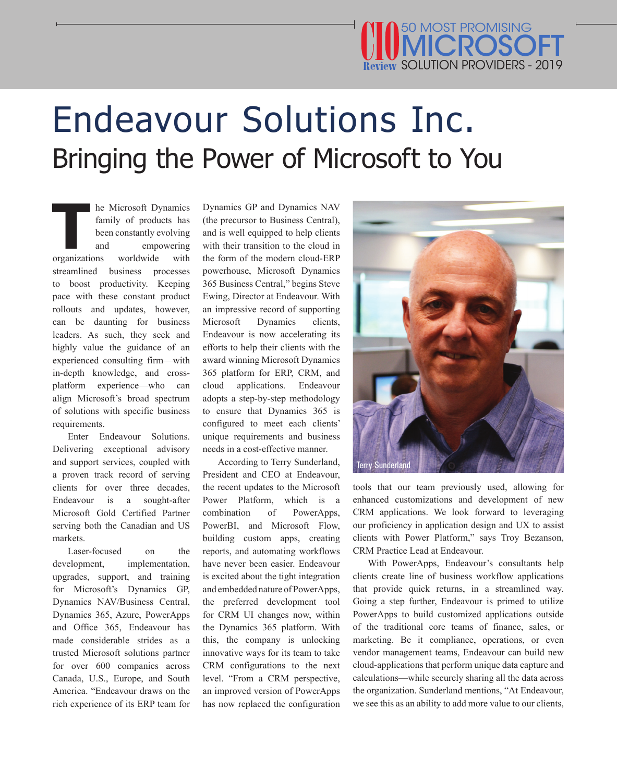### SOLUTION PROVIDERS - 2019 50 MOST PROMISING **MICROSOFT**

# Endeavour Solutions Inc. Bringing the Power of Microsoft to You

**The Microsoft Dynamics**<br> **The Microsoft Dynamics**<br> **The Microsoft Dynamics**<br> **The Microsoft Chapter**<br> **The Microsoft Chapter**<br> **The Microsoft Chapter**<br> **The Microsoft Chapter**<br> **The Microsoft Chapter**<br> **The Microsoft Chap** family of products has been constantly evolving empowering organizations streamlined business processes to boost productivity. Keeping pace with these constant product rollouts and updates, however, can be daunting for business leaders. As such, they seek and highly value the guidance of an experienced consulting firm—with in-depth knowledge, and crossplatform experience—who can align Microsoft's broad spectrum of solutions with specific business requirements.

Enter Endeavour Solutions. Delivering exceptional advisory and support services, coupled with a proven track record of serving clients for over three decades, Endeavour is a sought-after Microsoft Gold Certified Partner serving both the Canadian and US markets.

Laser-focused on the development, implementation, upgrades, support, and training for Microsoft's Dynamics GP, Dynamics NAV/Business Central, Dynamics 365, Azure, PowerApps and Office 365, Endeavour has made considerable strides as a trusted Microsoft solutions partner for over 600 companies across Canada, U.S., Europe, and South America. "Endeavour draws on the rich experience of its ERP team for Dynamics GP and Dynamics NAV (the precursor to Business Central), and is well equipped to help clients with their transition to the cloud in the form of the modern cloud-ERP powerhouse, Microsoft Dynamics 365 Business Central," begins Steve Ewing, Director at Endeavour. With an impressive record of supporting Microsoft Dynamics clients, Endeavour is now accelerating its efforts to help their clients with the award winning Microsoft Dynamics 365 platform for ERP, CRM, and cloud applications. Endeavour adopts a step-by-step methodology to ensure that Dynamics 365 is configured to meet each clients' unique requirements and business needs in a cost-effective manner.

According to Terry Sunderland, President and CEO at Endeavour, the recent updates to the Microsoft Power Platform, which is a combination of PowerApps, PowerBI, and Microsoft Flow, building custom apps, creating reports, and automating workflows have never been easier. Endeavour is excited about the tight integration and embedded nature of PowerApps, the preferred development tool for CRM UI changes now, within the Dynamics 365 platform. With this, the company is unlocking innovative ways for its team to take CRM configurations to the next level. "From a CRM perspective, an improved version of PowerApps has now replaced the configuration



tools that our team previously used, allowing for enhanced customizations and development of new CRM applications. We look forward to leveraging our proficiency in application design and UX to assist clients with Power Platform," says Troy Bezanson, CRM Practice Lead at Endeavour.

With PowerApps, Endeavour's consultants help clients create line of business workflow applications that provide quick returns, in a streamlined way. Going a step further, Endeavour is primed to utilize PowerApps to build customized applications outside of the traditional core teams of finance, sales, or marketing. Be it compliance, operations, or even vendor management teams, Endeavour can build new cloud-applications that perform unique data capture and calculations—while securely sharing all the data across the organization. Sunderland mentions, "At Endeavour, we see this as an ability to add more value to our clients,